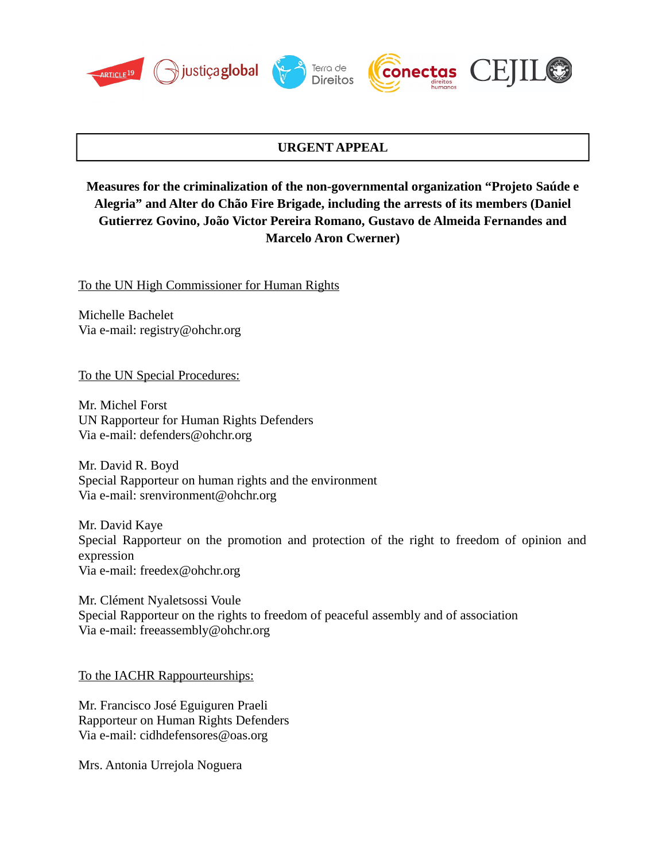







## **URGENT APPEAL**

# **Measures for the criminalization of the non-governmental organization "Projeto Saúde e Alegria" and Alter do Chão Fire Brigade, including the arrests of its members (Daniel Gutierrez Govino, João Victor Pereira Romano, Gustavo de Almeida Fernandes and Marcelo Aron Cwerner)**

To the UN High Commissioner for Human Rights

Michelle Bachelet Via e-mail: registry@ohchr.org

To the UN Special Procedures:

Mr. Michel Forst UN Rapporteur for Human Rights Defenders Via e-mail: defenders@ohchr.org

Mr. David R. Boyd Special Rapporteur on human rights and the environment Via e-mail: srenvironment@ohchr.org

[Mr. David Kaye](https://www.ohchr.org/EN/Issues/FreedomOpinion/Pages/DavidKaye.aspx) Special Rapporteur on the promotion and protection of the right to freedom of opinion and expression Via e-mail: [freedex@ohchr.org](mailto:freedex@ohchr.org)

Mr. Clément Nyaletsossi Voule Special Rapporteur on the rights to freedom of peaceful assembly and of association Via e-mail: freeassembly@ohchr.org

To the IACHR Rappourteurships:

Mr. Francisco José Eguiguren Praeli Rapporteur on Human Rights Defenders Via e-mail: cidhdefensores@oas.org

Mrs. Antonia Urrejola Noguera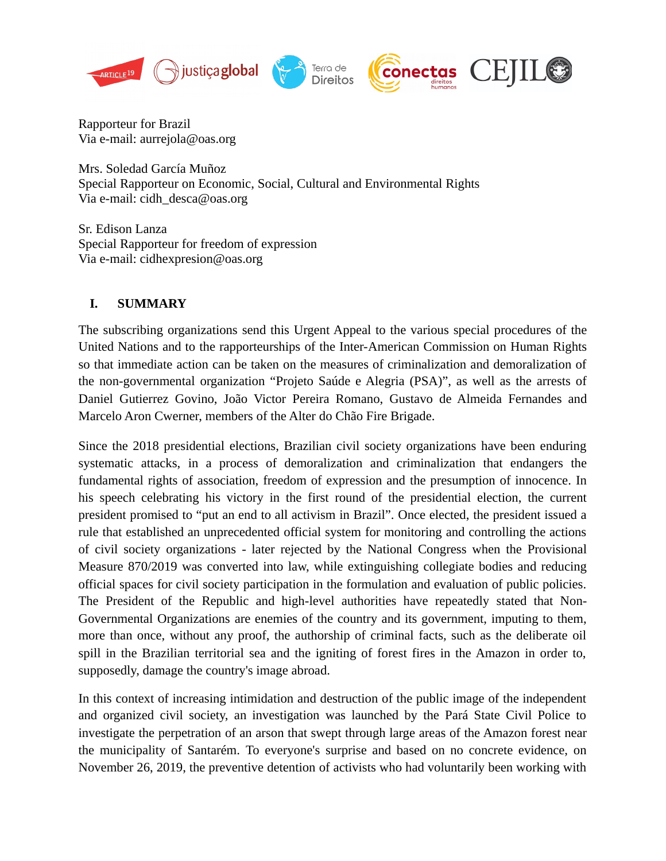





Rapporteur for Brazil Via e-mail: [aurrejola@oas.org](mailto:aurrejola@oas.org)

Mrs. Soledad García Muñoz Special Rapporteur on Economic, Social, Cultural and Environmental Rights Via e-mail: cid[h\\_desca@oas.org](mailto:CIDH_DESCA@oas.org)

Sr. Edison Lanza Special Rapporteur for freedom of expression Via e-mail: cidhexpresion@oas.org

## **I. SUMMARY**

The subscribing organizations send this Urgent Appeal to the various special procedures of the United Nations and to the rapporteurships of the Inter-American Commission on Human Rights so that immediate action can be taken on the measures of criminalization and demoralization of the non-governmental organization "Projeto Saúde e Alegria (PSA)", as well as the arrests of Daniel Gutierrez Govino, João Victor Pereira Romano, Gustavo de Almeida Fernandes and Marcelo Aron Cwerner, members of the Alter do Chão Fire Brigade.

Since the 2018 presidential elections, Brazilian civil society organizations have been enduring systematic attacks, in a process of demoralization and criminalization that endangers the fundamental rights of association, freedom of expression and the presumption of innocence. In his speech celebrating his victory in the first round of the presidential election, the current president promised to "put an end to all activism in Brazil". Once elected, the president issued a rule that established an unprecedented official system for monitoring and controlling the actions of civil society organizations - later rejected by the National Congress when the Provisional Measure 870/2019 was converted into law, while extinguishing collegiate bodies and reducing official spaces for civil society participation in the formulation and evaluation of public policies. The President of the Republic and high-level authorities have repeatedly stated that Non-Governmental Organizations are enemies of the country and its government, imputing to them, more than once, without any proof, the authorship of criminal facts, such as the deliberate oil spill in the Brazilian territorial sea and the igniting of forest fires in the Amazon in order to, supposedly, damage the country's image abroad.

In this context of increasing intimidation and destruction of the public image of the independent and organized civil society, an investigation was launched by the Pará State Civil Police to investigate the perpetration of an arson that swept through large areas of the Amazon forest near the municipality of Santarém. To everyone's surprise and based on no concrete evidence, on November 26, 2019, the preventive detention of activists who had voluntarily been working with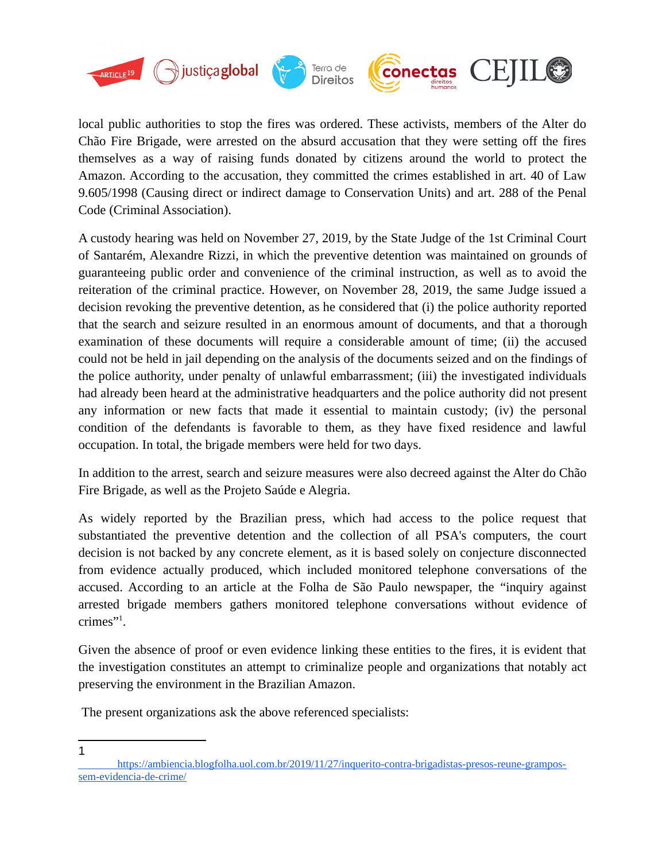

local public authorities to stop the fires was ordered. These activists, members of the Alter do Chão Fire Brigade, were arrested on the absurd accusation that they were setting off the fires themselves as a way of raising funds donated by citizens around the world to protect the Amazon. According to the accusation, they committed the crimes established in art. 40 of Law 9.605/1998 (Causing direct or indirect damage to Conservation Units) and art. 288 of the Penal Code (Criminal Association).

A custody hearing was held on November 27, 2019, by the State Judge of the 1st Criminal Court of Santarém, Alexandre Rizzi, in which the preventive detention was maintained on grounds of guaranteeing public order and convenience of the criminal instruction, as well as to avoid the reiteration of the criminal practice. However, on November 28, 2019, the same Judge issued a decision revoking the preventive detention, as he considered that (i) the police authority reported that the search and seizure resulted in an enormous amount of documents, and that a thorough examination of these documents will require a considerable amount of time; (ii) the accused could not be held in jail depending on the analysis of the documents seized and on the findings of the police authority, under penalty of unlawful embarrassment; (iii) the investigated individuals had already been heard at the administrative headquarters and the police authority did not present any information or new facts that made it essential to maintain custody; (iv) the personal condition of the defendants is favorable to them, as they have fixed residence and lawful occupation. In total, the brigade members were held for two days.

In addition to the arrest, search and seizure measures were also decreed against the Alter do Chão Fire Brigade, as well as the Projeto Saúde e Alegria.

As widely reported by the Brazilian press, which had access to the police request that substantiated the preventive detention and the collection of all PSA's computers, the court decision is not backed by any concrete element, as it is based solely on conjecture disconnected from evidence actually produced, which included monitored telephone conversations of the accused. According to an article at the Folha de São Paulo newspaper, the "inquiry against arrested brigade members gathers monitored telephone conversations without evidence of crimes"[1](#page-2-0) .

Given the absence of proof or even evidence linking these entities to the fires, it is evident that the investigation constitutes an attempt to criminalize people and organizations that notably act preserving the environment in the Brazilian Amazon.

The present organizations ask the above referenced specialists:

<span id="page-2-0"></span>1

[https://ambiencia.blogfolha.uol.com.br/2019/11/27/inquerito-contra-brigadistas-presos-reune-grampos](https://ambiencia.blogfolha.uol.com.br/2019/11/27/inquerito-contra-brigadistas-presos-reune-grampos-sem-evidencia-de-crime/)[sem-evidencia-de-crime/](https://ambiencia.blogfolha.uol.com.br/2019/11/27/inquerito-contra-brigadistas-presos-reune-grampos-sem-evidencia-de-crime/)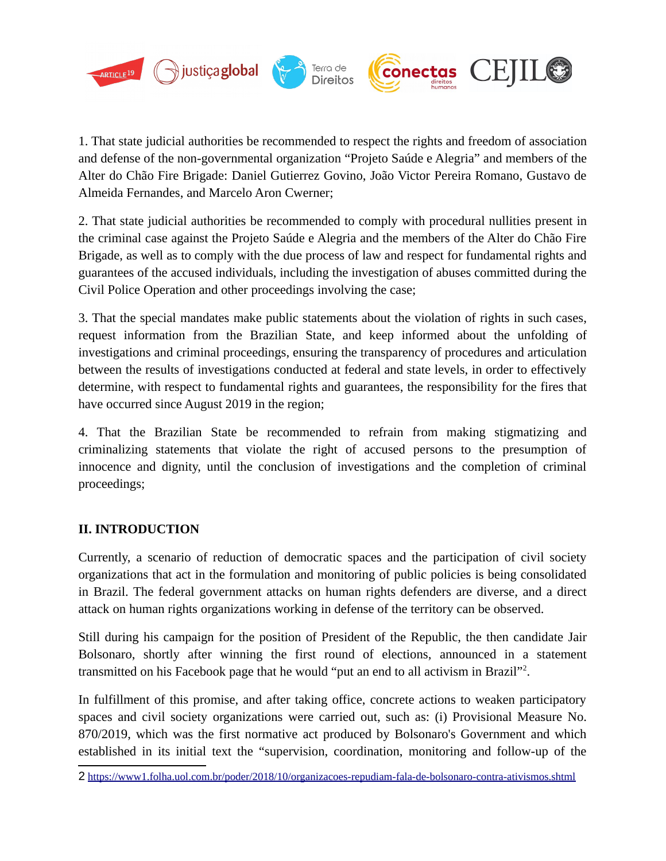

1. That state judicial authorities be recommended to respect the rights and freedom of association and defense of the non-governmental organization "Projeto Saúde e Alegria" and members of the Alter do Chão Fire Brigade: Daniel Gutierrez Govino, João Victor Pereira Romano, Gustavo de Almeida Fernandes, and Marcelo Aron Cwerner;

2. That state judicial authorities be recommended to comply with procedural nullities present in the criminal case against the Projeto Saúde e Alegria and the members of the Alter do Chão Fire Brigade, as well as to comply with the due process of law and respect for fundamental rights and guarantees of the accused individuals, including the investigation of abuses committed during the Civil Police Operation and other proceedings involving the case;

3. That the special mandates make public statements about the violation of rights in such cases, request information from the Brazilian State, and keep informed about the unfolding of investigations and criminal proceedings, ensuring the transparency of procedures and articulation between the results of investigations conducted at federal and state levels, in order to effectively determine, with respect to fundamental rights and guarantees, the responsibility for the fires that have occurred since August 2019 in the region;

4. That the Brazilian State be recommended to refrain from making stigmatizing and criminalizing statements that violate the right of accused persons to the presumption of innocence and dignity, until the conclusion of investigations and the completion of criminal proceedings;

## **II. INTRODUCTION**

Currently, a scenario of reduction of democratic spaces and the participation of civil society organizations that act in the formulation and monitoring of public policies is being consolidated in Brazil. The federal government attacks on human rights defenders are diverse, and a direct attack on human rights organizations working in defense of the territory can be observed.

Still during his campaign for the position of President of the Republic, the then candidate Jair Bolsonaro, shortly after winning the first round of elections, announced in a statement transmitted on his Facebook page that he would "put an end to all activism in Brazil"<sup>[2](#page-3-0)</sup>.

In fulfillment of this promise, and after taking office, concrete actions to weaken participatory spaces and civil society organizations were carried out, such as: (i) Provisional Measure No. 870/2019, which was the first normative act produced by Bolsonaro's Government and which established in its initial text the "supervision, coordination, monitoring and follow-up of the

<span id="page-3-0"></span><sup>2</sup> <https://www1.folha.uol.com.br/poder/2018/10/organizacoes-repudiam-fala-de-bolsonaro-contra-ativismos.shtml>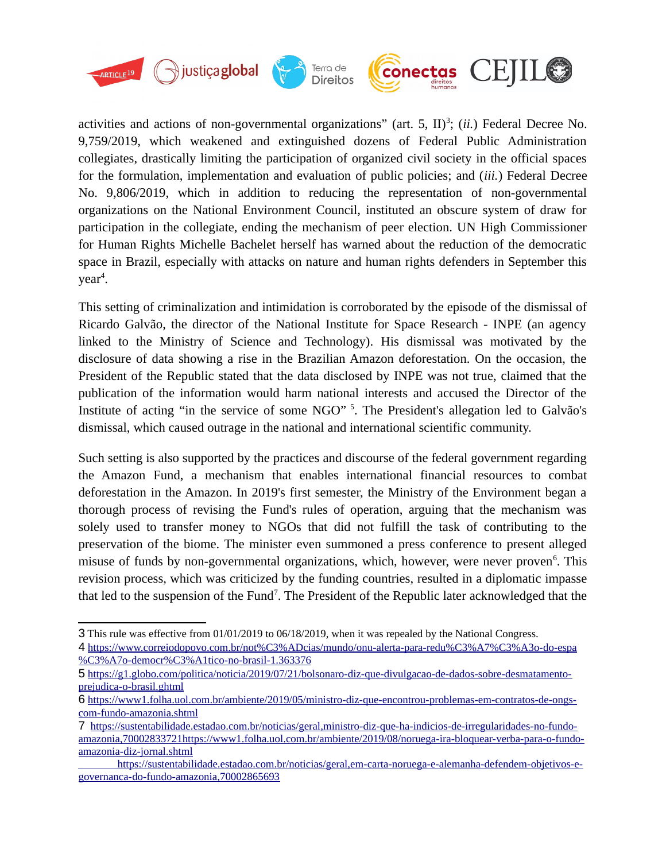

activities and actions of non-governmental organizations" (art. 5, II)<sup>[3](#page-4-0)</sup>; (*ii*.) Federal Decree No. 9,759/2019, which weakened and extinguished dozens of Federal Public Administration collegiates, drastically limiting the participation of organized civil society in the official spaces for the formulation, implementation and evaluation of public policies; and (*iii.*) Federal Decree No. 9,806/2019, which in addition to reducing the representation of non-governmental organizations on the National Environment Council, instituted an obscure system of draw for participation in the collegiate, ending the mechanism of peer election. UN High Commissioner for Human Rights Michelle Bachelet herself has warned about the reduction of the democratic space in Brazil, especially with attacks on nature and human rights defenders in September this  $year<sup>4</sup>.$  $year<sup>4</sup>.$  $year<sup>4</sup>.$ 

This setting of criminalization and intimidation is corroborated by the episode of the dismissal of Ricardo Galvão, the director of the National Institute for Space Research - INPE (an agency linked to the Ministry of Science and Technology). His dismissal was motivated by the disclosure of data showing a rise in the Brazilian Amazon deforestation. On the occasion, the President of the Republic stated that the data disclosed by INPE was not true, claimed that the publication of the information would harm national interests and accused the Director of the Institute of acting "in the service of some NGO" <sup>[5](#page-4-2)</sup>. The President's allegation led to Galvão's dismissal, which caused outrage in the national and international scientific community.

Such setting is also supported by the practices and discourse of the federal government regarding the Amazon Fund, a mechanism that enables international financial resources to combat deforestation in the Amazon. In 2019's first semester, the Ministry of the Environment began a thorough process of revising the Fund's rules of operation, arguing that the mechanism was solely used to transfer money to NGOs that did not fulfill the task of contributing to the preservation of the biome. The minister even summoned a press conference to present alleged misuse of funds by non-governmental organizations, which, however, were never proven<sup>[6](#page-4-3)</sup>. This revision process, which was criticized by the funding countries, resulted in a diplomatic impasse that led to the suspension of the Fund<sup>[7](#page-4-4)</sup>. The President of the Republic later acknowledged that the

<span id="page-4-0"></span><sup>3</sup> This rule was effective from 01/01/2019 to 06/18/2019, when it was repealed by the National Congress.

<span id="page-4-1"></span><sup>4</sup> [https://www.correiodopovo.com.br/not%C3%ADcias/mundo/onu-alerta-para-redu%C3%A7%C3%A3o-do-espa](https://www.correiodopovo.com.br/not%C3%ADcias/mundo/onu-alerta-para-redu%C3%A7%C3%A3o-do-espa%C3%A7o-democr%C3%A1tico-no-brasil-1.363376) [%C3%A7o-democr%C3%A1tico-no-brasil-1.363376](https://www.correiodopovo.com.br/not%C3%ADcias/mundo/onu-alerta-para-redu%C3%A7%C3%A3o-do-espa%C3%A7o-democr%C3%A1tico-no-brasil-1.363376)

<span id="page-4-2"></span><sup>5</sup> [https://g1.globo.com/politica/noticia/2019/07/21/bolsonaro-diz-que-divulgacao-de-dados-sobre-desmatamento](https://g1.globo.com/politica/noticia/2019/07/21/bolsonaro-diz-que-divulgacao-de-dados-sobre-desmatamento-prejudica-o-brasil.ghtml)[prejudica-o-brasil.ghtml](https://g1.globo.com/politica/noticia/2019/07/21/bolsonaro-diz-que-divulgacao-de-dados-sobre-desmatamento-prejudica-o-brasil.ghtml)

<span id="page-4-3"></span><sup>6</sup> [https://www1.folha.uol.com.br/ambiente/2019/05/ministro-diz-que-encontrou-problemas-em-contratos-de-ongs](https://www1.folha.uol.com.br/ambiente/2019/05/ministro-diz-que-encontrou-problemas-em-contratos-de-ongs-com-fundo-amazonia.shtml)[com-fundo-amazonia.shtml](https://www1.folha.uol.com.br/ambiente/2019/05/ministro-diz-que-encontrou-problemas-em-contratos-de-ongs-com-fundo-amazonia.shtml)

<span id="page-4-4"></span><sup>7</sup> [https://sustentabilidade.estadao.com.br/noticias/geral,ministro-diz-que-ha-indicios-de-irregularidades-no-fundo](https://sustentabilidade.estadao.com.br/noticias/geral,ministro-diz-que-ha-indicios-de-irregularidades-no-fundo-amazonia,70002833721https://www1.folha.uol.com.br/ambiente/2019/08/noruega-ira-bloquear-verba-para-o-fundo-amazonia-diz-jornal.shtml)[amazonia,70002833721https://www1.folha.uol.com.br/ambiente/2019/08/noruega-ira-bloquear-verba-para-o-fundo](https://sustentabilidade.estadao.com.br/noticias/geral,ministro-diz-que-ha-indicios-de-irregularidades-no-fundo-amazonia,70002833721https://www1.folha.uol.com.br/ambiente/2019/08/noruega-ira-bloquear-verba-para-o-fundo-amazonia-diz-jornal.shtml)[amazonia-diz-jornal.shtml](https://sustentabilidade.estadao.com.br/noticias/geral,ministro-diz-que-ha-indicios-de-irregularidades-no-fundo-amazonia,70002833721https://www1.folha.uol.com.br/ambiente/2019/08/noruega-ira-bloquear-verba-para-o-fundo-amazonia-diz-jornal.shtml)

[https://sustentabilidade.estadao.com.br/noticias/geral,em-carta-noruega-e-alemanha-defendem-objetivos-e](https://sustentabilidade.estadao.com.br/noticias/geral,em-carta-noruega-e-alemanha-defendem-objetivos-e-governanca-do-fundo-amazonia,70002865693)[governanca-do-fundo-amazonia,70002865693](https://sustentabilidade.estadao.com.br/noticias/geral,em-carta-noruega-e-alemanha-defendem-objetivos-e-governanca-do-fundo-amazonia,70002865693)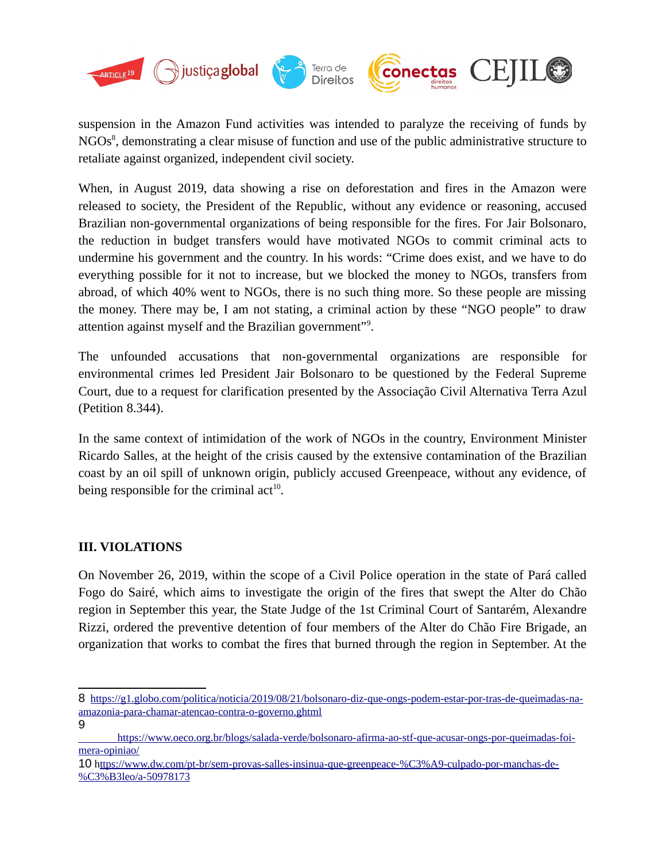

suspension in the Amazon Fund activities was intended to paralyze the receiving of funds by NGOs<sup>[8](#page-5-0)</sup>, demonstrating a clear misuse of function and use of the public administrative structure to retaliate against organized, independent civil society.

When, in August 2019, data showing a rise on deforestation and fires in the Amazon were released to society, the President of the Republic, without any evidence or reasoning, accused Brazilian non-governmental organizations of being responsible for the fires. For Jair Bolsonaro, the reduction in budget transfers would have motivated NGOs to commit criminal acts to undermine his government and the country. In his words: "Crime does exist, and we have to do everything possible for it not to increase, but we blocked the money to NGOs, transfers from abroad, of which 40% went to NGOs, there is no such thing more. So these people are missing the money. There may be, I am not stating, a criminal action by these "NGO people" to draw attention against myself and the Brazilian government"<sup>[9](#page-5-1)</sup>.

The unfounded accusations that non-governmental organizations are responsible for environmental crimes led President Jair Bolsonaro to be questioned by the Federal Supreme Court, due to a request for clarification presented by the Associação Civil Alternativa Terra Azul (Petition 8.344).

In the same context of intimidation of the work of NGOs in the country, Environment Minister Ricardo Salles, at the height of the crisis caused by the extensive contamination of the Brazilian coast by an oil spill of unknown origin, publicly accused Greenpeace, without any evidence, of being responsible for the criminal  $act<sup>10</sup>$  $act<sup>10</sup>$  $act<sup>10</sup>$ .

## **III. VIOLATIONS**

On November 26, 2019, within the scope of a Civil Police operation in the state of Pará called Fogo do Sairé, which aims to investigate the origin of the fires that swept the Alter do Chão region in September this year, the State Judge of the 1st Criminal Court of Santarém, Alexandre Rizzi, ordered the preventive detention of four members of the Alter do Chão Fire Brigade, an organization that works to combat the fires that burned through the region in September. At the

<span id="page-5-1"></span>9

<span id="page-5-0"></span><sup>8</sup> [https://g1.globo.com/politica/noticia/2019/08/21/bolsonaro-diz-que-ongs-podem-estar-por-tras-de-queimadas-na](https://g1.globo.com/politica/noticia/2019/08/21/bolsonaro-diz-que-ongs-podem-estar-por-tras-de-queimadas-na-amazonia-para-chamar-atencao-contra-o-governo.ghtml)[amazonia-para-chamar-atencao-contra-o-governo.ghtml](https://g1.globo.com/politica/noticia/2019/08/21/bolsonaro-diz-que-ongs-podem-estar-por-tras-de-queimadas-na-amazonia-para-chamar-atencao-contra-o-governo.ghtml)

[https://www.oeco.org.br/blogs/salada-verde/bolsonaro-afirma-ao-stf-que-acusar-ongs-por-queimadas-foi](https://www.oeco.org.br/blogs/salada-verde/bolsonaro-afirma-ao-stf-que-acusar-ongs-por-queimadas-foi-mera-opiniao/)[mera-opiniao/](https://www.oeco.org.br/blogs/salada-verde/bolsonaro-afirma-ao-stf-que-acusar-ongs-por-queimadas-foi-mera-opiniao/)

<span id="page-5-2"></span><sup>10</sup> [https://www.dw.com/pt-br/sem-provas-salles-insinua-que-greenpeace-%C3%A9-culpado-por-manchas-de-](https://www.dw.com/pt-br/sem-provas-salles-insinua-que-greenpeace-%C3%A9-culpado-por-manchas-de-%C3%B3leo/a-50978173) [%C3%B3leo/a-50978173](https://www.dw.com/pt-br/sem-provas-salles-insinua-que-greenpeace-%C3%A9-culpado-por-manchas-de-%C3%B3leo/a-50978173)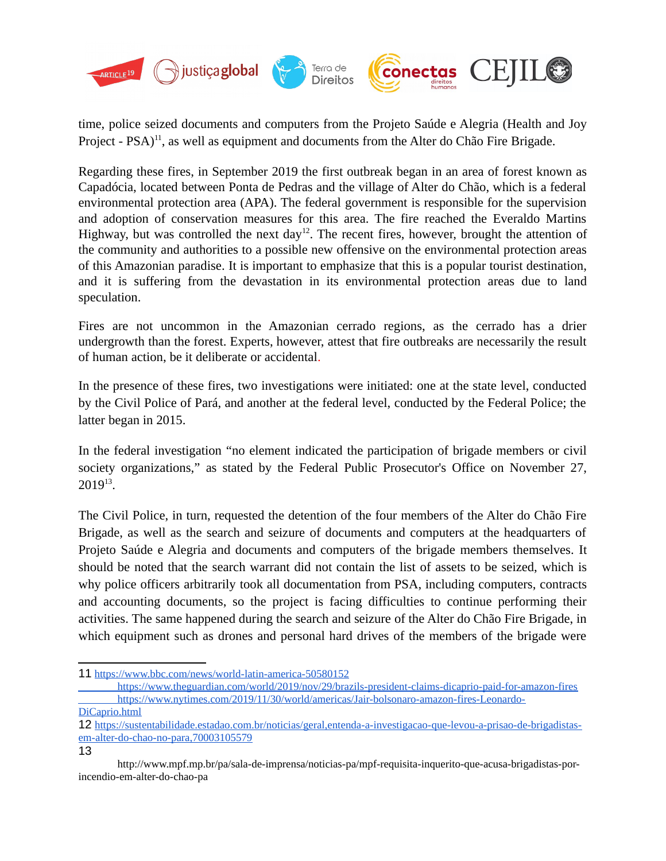

time, police seized documents and computers from the Projeto Saúde e Alegria (Health and Joy Project - PSA)<sup>[11](#page-6-0)</sup>, as well as equipment and documents from the Alter do Chão Fire Brigade.

Regarding these fires, in September 2019 the first outbreak began in an area of forest known as Capadócia, located between Ponta de Pedras and the village of Alter do Chão, which is a federal environmental protection area (APA). The federal government is responsible for the supervision and adoption of conservation measures for this area. The fire reached the Everaldo Martins Highway, but was controlled the next day<sup>[12](#page-6-1)</sup>. The recent fires, however, brought the attention of the community and authorities to a possible new offensive on the environmental protection areas of this Amazonian paradise. It is important to emphasize that this is a popular tourist destination, and it is suffering from the devastation in its environmental protection areas due to land speculation.

Fires are not uncommon in the Amazonian cerrado regions, as the cerrado has a drier undergrowth than the forest. Experts, however, attest that fire outbreaks are necessarily the result of human action, be it deliberate or accidental.

In the presence of these fires, two investigations were initiated: one at the state level, conducted by the Civil Police of Pará, and another at the federal level, conducted by the Federal Police; the latter began in 2015.

In the federal investigation "no element indicated the participation of brigade members or civil society organizations," as stated by the Federal Public Prosecutor's Office on November 27,  $2019^{13}$  $2019^{13}$  $2019^{13}$ .

The Civil Police, in turn, requested the detention of the four members of the Alter do Chão Fire Brigade, as well as the search and seizure of documents and computers at the headquarters of Projeto Saúde e Alegria and documents and computers of the brigade members themselves. It should be noted that the search warrant did not contain the list of assets to be seized, which is why police officers arbitrarily took all documentation from PSA, including computers, contracts and accounting documents, so the project is facing difficulties to continue performing their activities. The same happened during the search and seizure of the Alter do Chão Fire Brigade, in which equipment such as drones and personal hard drives of the members of the brigade were

<span id="page-6-2"></span>13

<span id="page-6-0"></span><sup>11</sup> <https://www.bbc.com/news/world-latin-america-50580152>

<https://www.theguardian.com/world/2019/nov/29/brazils-president-claims-dicaprio-paid-for-amazon-fires>  [https://www.nytimes.com/2019/11/30/world/americas/Jair-bolsonaro-amazon-fires-Leonardo-](https://www.nytimes.com/2019/11/30/world/americas/Jair-bolsonaro-amazon-fires-Leonardo-DiCaprio.html)

[DiCaprio.html](https://www.nytimes.com/2019/11/30/world/americas/Jair-bolsonaro-amazon-fires-Leonardo-DiCaprio.html)

<span id="page-6-1"></span><sup>12</sup> [https://sustentabilidade.estadao.com.br/noticias/geral,entenda-a-investigacao-que-levou-a-prisao-de-brigadistas](https://sustentabilidade.estadao.com.br/noticias/geral,entenda-a-investigacao-que-levou-a-prisao-de-brigadistas-em-alter-do-chao-no-para,70003105579)[em-alter-do-chao-no-para,70003105579](https://sustentabilidade.estadao.com.br/noticias/geral,entenda-a-investigacao-que-levou-a-prisao-de-brigadistas-em-alter-do-chao-no-para,70003105579)

http://www.mpf.mp.br/pa/sala-de-imprensa/noticias-pa/mpf-requisita-inquerito-que-acusa-brigadistas-porincendio-em-alter-do-chao-pa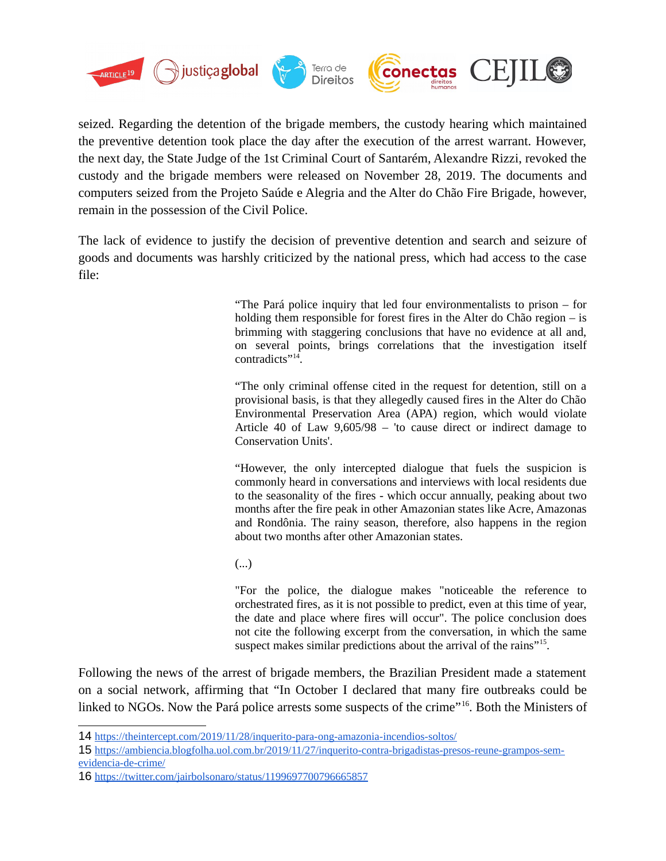

seized. Regarding the detention of the brigade members, the custody hearing which maintained the preventive detention took place the day after the execution of the arrest warrant. However, the next day, the State Judge of the 1st Criminal Court of Santarém, Alexandre Rizzi, revoked the custody and the brigade members were released on November 28, 2019. The documents and computers seized from the Projeto Saúde e Alegria and the Alter do Chão Fire Brigade, however, remain in the possession of the Civil Police.

The lack of evidence to justify the decision of preventive detention and search and seizure of goods and documents was harshly criticized by the national press, which had access to the case file:

> "The Pará police inquiry that led four environmentalists to prison – for holding them responsible for forest fires in the Alter do Chão region – is brimming with staggering conclusions that have no evidence at all and, on several points, brings correlations that the investigation itself contradicts"<sup>[14](#page-7-0)</sup>.

> "The only criminal offense cited in the request for detention, still on a provisional basis, is that they allegedly caused fires in the Alter do Chão Environmental Preservation Area (APA) region, which would violate Article 40 of Law 9,605/98 – 'to cause direct or indirect damage to Conservation Units'.

> "However, the only intercepted dialogue that fuels the suspicion is commonly heard in conversations and interviews with local residents due to the seasonality of the fires - which occur annually, peaking about two months after the fire peak in other Amazonian states like Acre, Amazonas and Rondônia. The rainy season, therefore, also happens in the region about two months after other Amazonian states.

(...)

"For the police, the dialogue makes "noticeable the reference to orchestrated fires, as it is not possible to predict, even at this time of year, the date and place where fires will occur". The police conclusion does not cite the following excerpt from the conversation, in which the same suspect makes similar predictions about the arrival of the rains"<sup>[15](#page-7-1)</sup>.

Following the news of the arrest of brigade members, the Brazilian President made a statement on a social network, affirming that "In October I declared that many fire outbreaks could be linked to NGOs. Now the Pará police arrests some suspects of the crime"[16](#page-7-2). Both the Ministers of

<span id="page-7-0"></span><sup>14</sup> <https://theintercept.com/2019/11/28/inquerito-para-ong-amazonia-incendios-soltos/>

<span id="page-7-1"></span><sup>15</sup> [https://ambiencia.blogfolha.uol.com.br/2019/11/27/inquerito-contra-brigadistas-presos-reune-grampos-sem](https://ambiencia.blogfolha.uol.com.br/2019/11/27/inquerito-contra-brigadistas-presos-reune-grampos-sem-evidencia-de-crime/)[evidencia-de-crime/](https://ambiencia.blogfolha.uol.com.br/2019/11/27/inquerito-contra-brigadistas-presos-reune-grampos-sem-evidencia-de-crime/)

<span id="page-7-2"></span><sup>16</sup> <https://twitter.com/jairbolsonaro/status/1199697700796665857>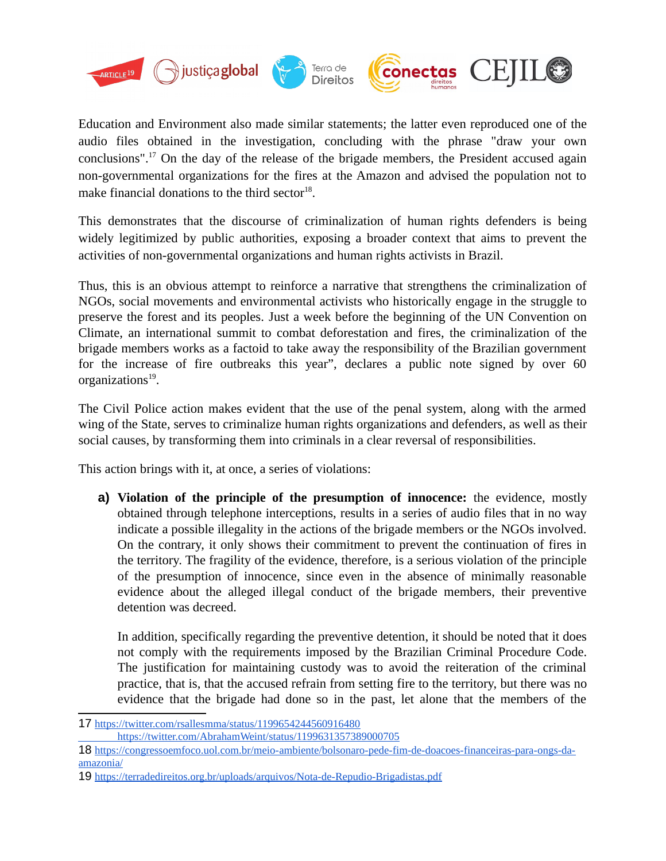

Education and Environment also made similar statements; the latter even reproduced one of the audio files obtained in the investigation, concluding with the phrase "draw your own conclusions".<sup>[17](#page-8-0)</sup> On the day of the release of the brigade members, the President accused again non-governmental organizations for the fires at the Amazon and advised the population not to make financial donations to the third sector<sup>[18](#page-8-1)</sup>.

This demonstrates that the discourse of criminalization of human rights defenders is being widely legitimized by public authorities, exposing a broader context that aims to prevent the activities of non-governmental organizations and human rights activists in Brazil.

Thus, this is an obvious attempt to reinforce a narrative that strengthens the criminalization of NGOs, social movements and environmental activists who historically engage in the struggle to preserve the forest and its peoples. Just a week before the beginning of the UN Convention on Climate, an international summit to combat deforestation and fires, the criminalization of the brigade members works as a factoid to take away the responsibility of the Brazilian government for the increase of fire outbreaks this year", declares a public note signed by over 60 organizations<sup>[19](#page-8-2)</sup>.

The Civil Police action makes evident that the use of the penal system, along with the armed wing of the State, serves to criminalize human rights organizations and defenders, as well as their social causes, by transforming them into criminals in a clear reversal of responsibilities.

This action brings with it, at once, a series of violations:

**a) Violation of the principle of the presumption of innocence:** the evidence, mostly obtained through telephone interceptions, results in a series of audio files that in no way indicate a possible illegality in the actions of the brigade members or the NGOs involved. On the contrary, it only shows their commitment to prevent the continuation of fires in the territory. The fragility of the evidence, therefore, is a serious violation of the principle of the presumption of innocence, since even in the absence of minimally reasonable evidence about the alleged illegal conduct of the brigade members, their preventive detention was decreed.

In addition, specifically regarding the preventive detention, it should be noted that it does not comply with the requirements imposed by the Brazilian Criminal Procedure Code. The justification for maintaining custody was to avoid the reiteration of the criminal practice, that is, that the accused refrain from setting fire to the territory, but there was no evidence that the brigade had done so in the past, let alone that the members of the

<span id="page-8-0"></span><sup>17</sup> <https://twitter.com/rsallesmma/status/1199654244560916480>

<span id="page-8-1"></span><https://twitter.com/AbrahamWeint/status/1199631357389000705>

<sup>18</sup> [https://congressoemfoco.uol.com.br/meio-ambiente/bolsonaro-pede-fim-de-doacoes-financeiras-para-ongs-da](https://congressoemfoco.uol.com.br/meio-ambiente/bolsonaro-pede-fim-de-doacoes-financeiras-para-ongs-da-amazonia/)[amazonia/](https://congressoemfoco.uol.com.br/meio-ambiente/bolsonaro-pede-fim-de-doacoes-financeiras-para-ongs-da-amazonia/)

<span id="page-8-2"></span><sup>19</sup> <https://terradedireitos.org.br/uploads/arquivos/Nota-de-Repudio-Brigadistas.pdf>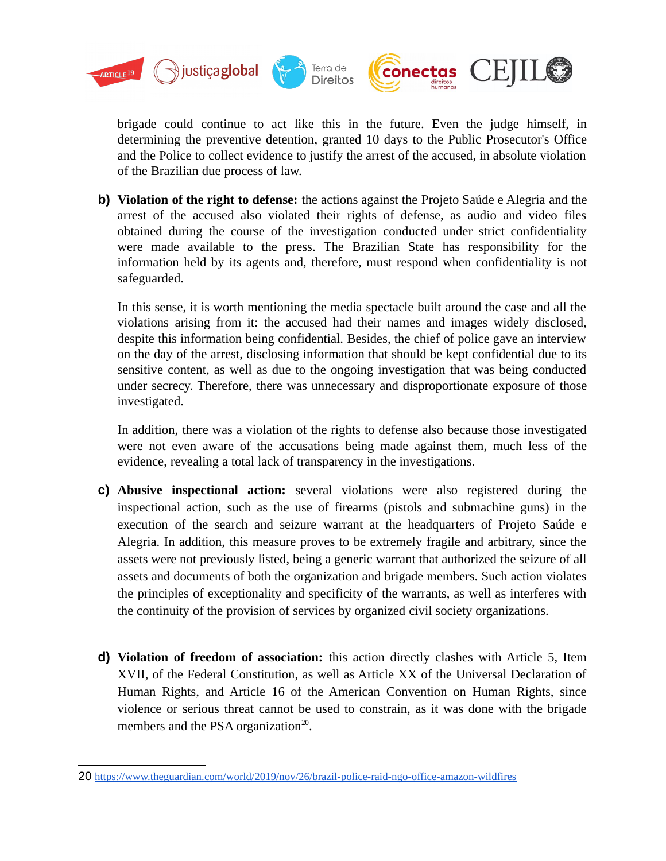

brigade could continue to act like this in the future. Even the judge himself, in determining the preventive detention, granted 10 days to the Public Prosecutor's Office and the Police to collect evidence to justify the arrest of the accused, in absolute violation of the Brazilian due process of law.

**b) Violation of the right to defense:** the actions against the Projeto Saúde e Alegria and the arrest of the accused also violated their rights of defense, as audio and video files obtained during the course of the investigation conducted under strict confidentiality were made available to the press. The Brazilian State has responsibility for the information held by its agents and, therefore, must respond when confidentiality is not safeguarded.

In this sense, it is worth mentioning the media spectacle built around the case and all the violations arising from it: the accused had their names and images widely disclosed, despite this information being confidential. Besides, the chief of police gave an interview on the day of the arrest, disclosing information that should be kept confidential due to its sensitive content, as well as due to the ongoing investigation that was being conducted under secrecy. Therefore, there was unnecessary and disproportionate exposure of those investigated.

In addition, there was a violation of the rights to defense also because those investigated were not even aware of the accusations being made against them, much less of the evidence, revealing a total lack of transparency in the investigations.

- **c) Abusive inspectional action:** several violations were also registered during the inspectional action, such as the use of firearms (pistols and submachine guns) in the execution of the search and seizure warrant at the headquarters of Projeto Saúde e Alegria. In addition, this measure proves to be extremely fragile and arbitrary, since the assets were not previously listed, being a generic warrant that authorized the seizure of all assets and documents of both the organization and brigade members. Such action violates the principles of exceptionality and specificity of the warrants, as well as interferes with the continuity of the provision of services by organized civil society organizations.
- **d) Violation of freedom of association:** this action directly clashes with Article 5, Item XVII, of the Federal Constitution, as well as Article XX of the Universal Declaration of Human Rights, and Article 16 of the American Convention on Human Rights, since violence or serious threat cannot be used to constrain, as it was done with the brigade members and the PSA organization<sup>[20](#page-9-0)</sup>.

<span id="page-9-0"></span><sup>20</sup> <https://www.theguardian.com/world/2019/nov/26/brazil-police-raid-ngo-office-amazon-wildfires>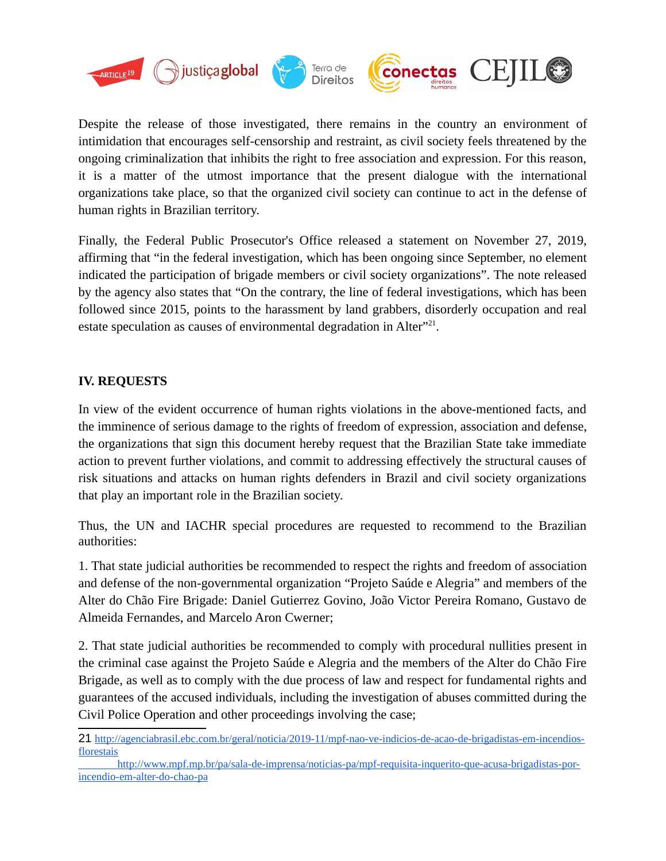

Despite the release of those investigated, there remains in the country an environment of intimidation that encourages self-censorship and restraint, as civil society feels threatened by the ongoing criminalization that inhibits the right to free association and expression. For this reason, it is a matter of the utmost importance that the present dialogue with the international organizations take place, so that the organized civil society can continue to act in the defense of human rights in Brazilian territory.

Finally, the Federal Public Prosecutor's Office released a statement on November 27, 2019, affirming that "in the federal investigation, which has been ongoing since September, no element indicated the participation of brigade members or civil society organizations". The note released by the agency also states that "On the contrary, the line of federal investigations, which has been followed since 2015, points to the harassment by land grabbers, disorderly occupation and real estate speculation as causes of environmental degradation in Alter $"^{21}$  $"^{21}$  $"^{21}$ .

## **IV. REQUESTS**

In view of the evident occurrence of human rights violations in the above-mentioned facts, and the imminence of serious damage to the rights of freedom of expression, association and defense, the organizations that sign this document hereby request that the Brazilian State take immediate action to prevent further violations, and commit to addressing effectively the structural causes of risk situations and attacks on human rights defenders in Brazil and civil society organizations that play an important role in the Brazilian society.

Thus, the UN and IACHR special procedures are requested to recommend to the Brazilian authorities:

1. That state judicial authorities be recommended to respect the rights and freedom of association and defense of the non-governmental organization "Projeto Saúde e Alegria" and members of the Alter do Chão Fire Brigade: Daniel Gutierrez Govino, João Victor Pereira Romano, Gustavo de Almeida Fernandes, and Marcelo Aron Cwerner;

2. That state judicial authorities be recommended to comply with procedural nullities present in the criminal case against the Projeto Saúde e Alegria and the members of the Alter do Chão Fire Brigade, as well as to comply with the due process of law and respect for fundamental rights and guarantees of the accused individuals, including the investigation of abuses committed during the Civil Police Operation and other proceedings involving the case;

<span id="page-10-0"></span><sup>21</sup> [http://agenciabrasil.ebc.com.br/geral/noticia/2019-11/mpf-nao-ve-indicios-de-acao-de-brigadistas-em-incendios](http://agenciabrasil.ebc.com.br/geral/noticia/2019-11/mpf-nao-ve-indicios-de-acao-de-brigadistas-em-incendios-florestais)[florestais](http://agenciabrasil.ebc.com.br/geral/noticia/2019-11/mpf-nao-ve-indicios-de-acao-de-brigadistas-em-incendios-florestais)

[http://www.mpf.mp.br/pa/sala-de-imprensa/noticias-pa/mpf-requisita-inquerito-que-acusa-brigadistas-por](http://www.mpf.mp.br/pa/sala-de-imprensa/noticias-pa/mpf-requisita-inquerito-que-acusa-brigadistas-por-incendio-em-alter-do-chao-pa)[incendio-em-alter-do-chao-pa](http://www.mpf.mp.br/pa/sala-de-imprensa/noticias-pa/mpf-requisita-inquerito-que-acusa-brigadistas-por-incendio-em-alter-do-chao-pa)